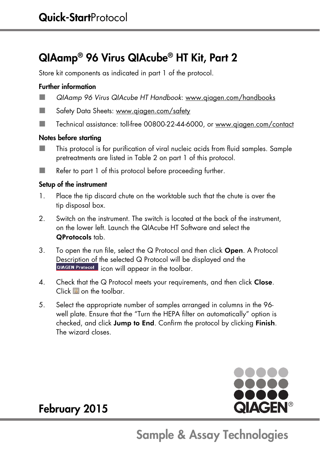## QIAamp® 96 Virus QIAcube® HT Kit, Part 2

Store kit components as indicated in part 1 of the protocol.

#### Further information

- QIAamp 96 Virus QIAcube HT Handbook: www.qiagen.com/handbooks
- Safety Data Sheets: www.qiagen.com/safety
- Technical assistance: toll-free 00800-22-44-6000, or www.qiagen.com/contact

#### Notes before starting

- This protocol is for purification of viral nucleic acids from fluid samples. Sample pretreatments are listed in Table 2 on part 1 of this protocol.
- Refer to part 1 of this protocol before proceeding further.

#### Setup of the instrument

- 1. Place the tip discard chute on the worktable such that the chute is over the tip disposal box.
- 2. Switch on the instrument. The switch is located at the back of the instrument, on the lower left. Launch the QIAcube HT Software and select the QProtocols tab.
- 3. To open the run file, select the  $Q$  Protocol and then click **Open**. A Protocol Description of the selected Q Protocol will be displayed and the **QIAGEN Protocol** icon will appear in the toolbar.
- 4. Check that the Q Protocol meets your requirements, and then click Close.  $Click \n **A**$  on the toolbar.
- 5. Select the appropriate number of samples arranged in columns in the 96 well plate. Ensure that the "Turn the HEPA filter on automatically" option is checked, and click Jump to End. Confirm the protocol by clicking Finish. The wizard closes.



### February 2015

## Sample & Assay Technologies